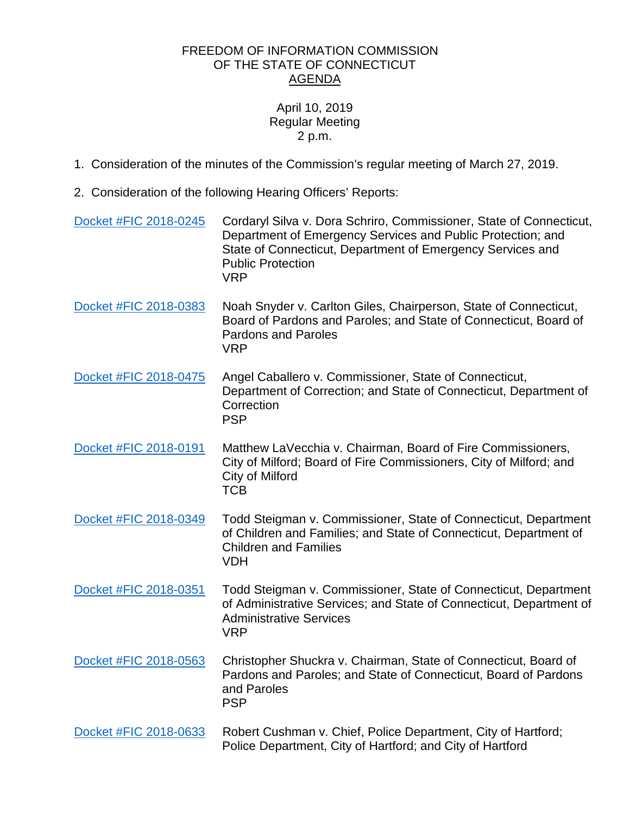## FREEDOM OF INFORMATION COMMISSION OF THE STATE OF CONNECTICUT AGENDA

## April 10, 2019 Regular Meeting 2 p.m.

- 1. Consideration of the minutes of the Commission's regular meeting of March 27, 2019.
- 2. Consideration of the following Hearing Officers' Reports:

| Docket #FIC 2018-0245 | Cordaryl Silva v. Dora Schriro, Commissioner, State of Connecticut,<br>Department of Emergency Services and Public Protection; and<br>State of Connecticut, Department of Emergency Services and<br><b>Public Protection</b><br><b>VRP</b> |
|-----------------------|--------------------------------------------------------------------------------------------------------------------------------------------------------------------------------------------------------------------------------------------|
| Docket #FIC 2018-0383 | Noah Snyder v. Carlton Giles, Chairperson, State of Connecticut,<br>Board of Pardons and Paroles; and State of Connecticut, Board of<br><b>Pardons and Paroles</b><br><b>VRP</b>                                                           |
| Docket #FIC 2018-0475 | Angel Caballero v. Commissioner, State of Connecticut,<br>Department of Correction; and State of Connecticut, Department of<br>Correction<br><b>PSP</b>                                                                                    |
| Docket #FIC 2018-0191 | Matthew LaVecchia v. Chairman, Board of Fire Commissioners,<br>City of Milford; Board of Fire Commissioners, City of Milford; and<br>City of Milford<br><b>TCB</b>                                                                         |
| Docket #FIC 2018-0349 | Todd Steigman v. Commissioner, State of Connecticut, Department<br>of Children and Families; and State of Connecticut, Department of<br><b>Children and Families</b><br><b>VDH</b>                                                         |
| Docket #FIC 2018-0351 | Todd Steigman v. Commissioner, State of Connecticut, Department<br>of Administrative Services; and State of Connecticut, Department of<br><b>Administrative Services</b><br><b>VRP</b>                                                     |
| Docket #FIC 2018-0563 | Christopher Shuckra v. Chairman, State of Connecticut, Board of<br>Pardons and Paroles; and State of Connecticut, Board of Pardons<br>and Paroles<br><b>PSP</b>                                                                            |
| Docket #FIC 2018-0633 | Robert Cushman v. Chief, Police Department, City of Hartford;<br>Police Department, City of Hartford; and City of Hartford                                                                                                                 |